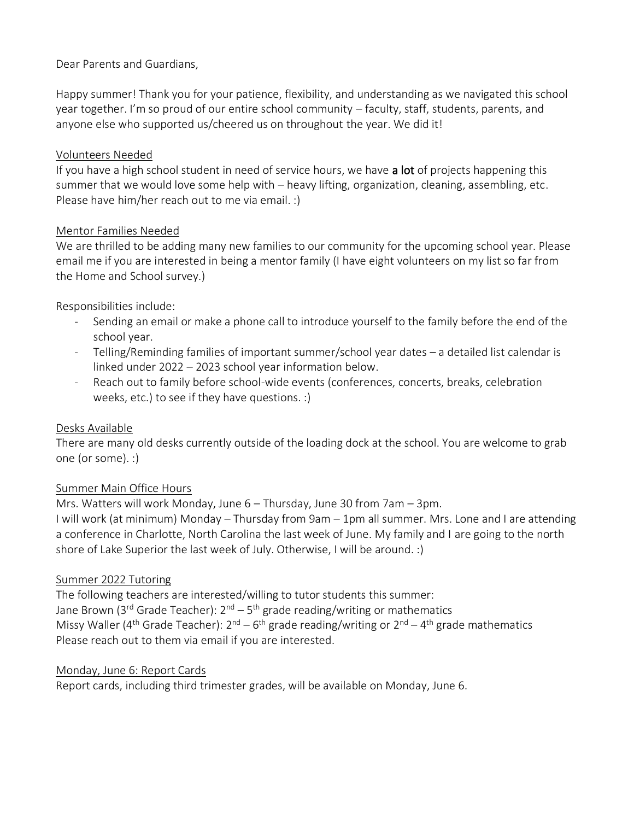## Dear Parents and Guardians,

Happy summer! Thank you for your patience, flexibility, and understanding as we navigated this school year together. I'm so proud of our entire school community – faculty, staff, students, parents, and anyone else who supported us/cheered us on throughout the year. We did it!

## Volunteers Needed

If you have a high school student in need of service hours, we have a lot of projects happening this summer that we would love some help with – heavy lifting, organization, cleaning, assembling, etc. Please have him/her reach out to me via email. :)

## Mentor Families Needed

We are thrilled to be adding many new families to our community for the upcoming school year. Please email me if you are interested in being a mentor family (I have eight volunteers on my list so far from the Home and School survey.)

Responsibilities include:

- Sending an email or make a phone call to introduce yourself to the family before the end of the school year.
- Telling/Reminding families of important summer/school year dates a detailed list calendar is linked under 2022 – 2023 school year information below.
- Reach out to family before school-wide events (conferences, concerts, breaks, celebration weeks, etc.) to see if they have questions. :)

#### Desks Available

There are many old desks currently outside of the loading dock at the school. You are welcome to grab one (or some). :)

#### Summer Main Office Hours

Mrs. Watters will work Monday, June 6 – Thursday, June 30 from 7am – 3pm. I will work (at minimum) Monday – Thursday from 9am – 1pm all summer. Mrs. Lone and I are attending a conference in Charlotte, North Carolina the last week of June. My family and I are going to the north shore of Lake Superior the last week of July. Otherwise, I will be around. :)

#### Summer 2022 Tutoring

The following teachers are interested/willing to tutor students this summer: Jane Brown (3<sup>rd</sup> Grade Teacher): 2<sup>nd</sup> – 5<sup>th</sup> grade reading/writing or mathematics Missy Waller (4<sup>th</sup> Grade Teacher): 2<sup>nd</sup> – 6<sup>th</sup> grade reading/writing or 2<sup>nd</sup> – 4<sup>th</sup> grade mathematics Please reach out to them via email if you are interested.

#### Monday, June 6: Report Cards

Report cards, including third trimester grades, will be available on Monday, June 6.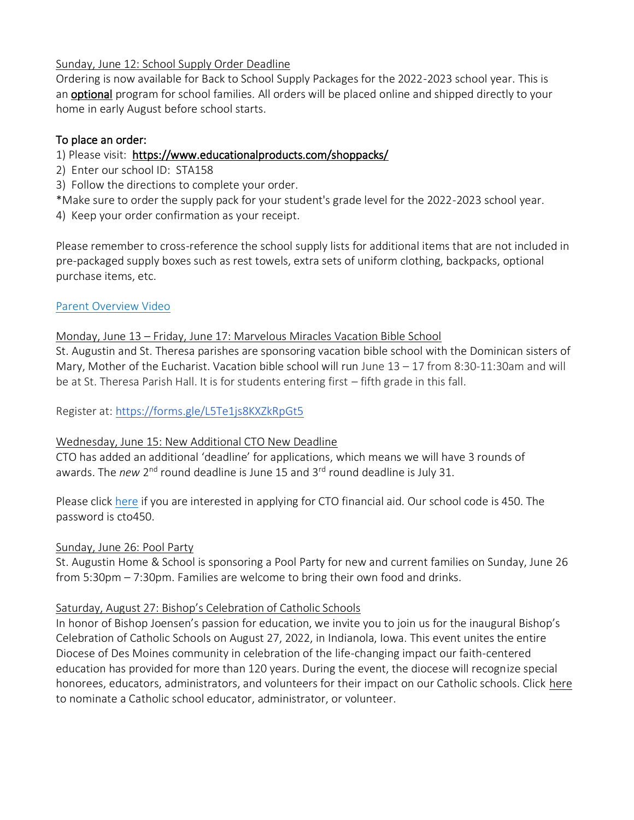# Sunday, June 12: School Supply Order Deadline

Ordering is now available for Back to School Supply Packages for the 2022-2023 school year. This is an **optional** program for school families. All orders will be placed online and shipped directly to your home in early August before school starts.

## To place an order:

# 1) Please visit:<https://www.educationalproducts.com/shoppacks/>

- 2) Enter our school ID: STA158
- 3) Follow the directions to complete your order.
- \*Make sure to order the supply pack for your student's grade level for the 2022-2023 school year.
- 4) Keep your order confirmation as your receipt.

Please remember to cross-reference the school supply lists for additional items that are not included in pre-packaged supply boxes such as rest towels, extra sets of uniform clothing, backpacks, optional purchase items, etc.

# [Parent Overview Video](https://youtu.be/1KF8JE0sKg8)

## Monday, June 13 – Friday, June 17: Marvelous Miracles Vacation Bible School

St. Augustin and St. Theresa parishes are sponsoring vacation bible school with the Dominican sisters of Mary, Mother of the Eucharist. Vacation bible school will run June 13 – 17 from 8:30-11:30am and will be at St. Theresa Parish Hall. It is for students entering first – fifth grade in this fall.

Register at: <https://forms.gle/L5Te1js8KXZkRpGt5>

# Wednesday, June 15: New Additional CTO New Deadline

CTO has added an additional 'deadline' for applications, which means we will have 3 rounds of awards. The *new* 2<sup>nd</sup> round deadline is June 15 and 3<sup>rd</sup> round deadline is July 31.

Please click [here](https://fairapp.com/Index.aspx) if you are interested in applying for CTO financial aid. Our school code is 450. The password is cto450.

# Sunday, June 26: Pool Party

St. Augustin Home & School is sponsoring a Pool Party for new and current families on Sunday, June 26 from 5:30pm – 7:30pm. Families are welcome to bring their own food and drinks.

# Saturday, August 27: Bishop's Celebration of Catholic Schools

In honor of Bishop Joensen's passion for education, we invite you to join us for the inaugural Bishop's Celebration of Catholic Schools on August 27, 2022, in Indianola, Iowa. This event unites the entire Diocese of Des Moines community in celebration of the life-changing impact our faith-centered education has provided for more than 120 years. During the event, the diocese will recognize special honorees, educators, administrators, and volunteers for their impact on our Catholic schools. Click [here](https://docs.google.com/forms/d/e/1FAIpQLSe3_gTJALqN7azC0hPPC03rl_GAutVouVvbGicsiFMWNGvm6Q/viewform?usp=sf_link) to nominate a Catholic school educator, administrator, or volunteer.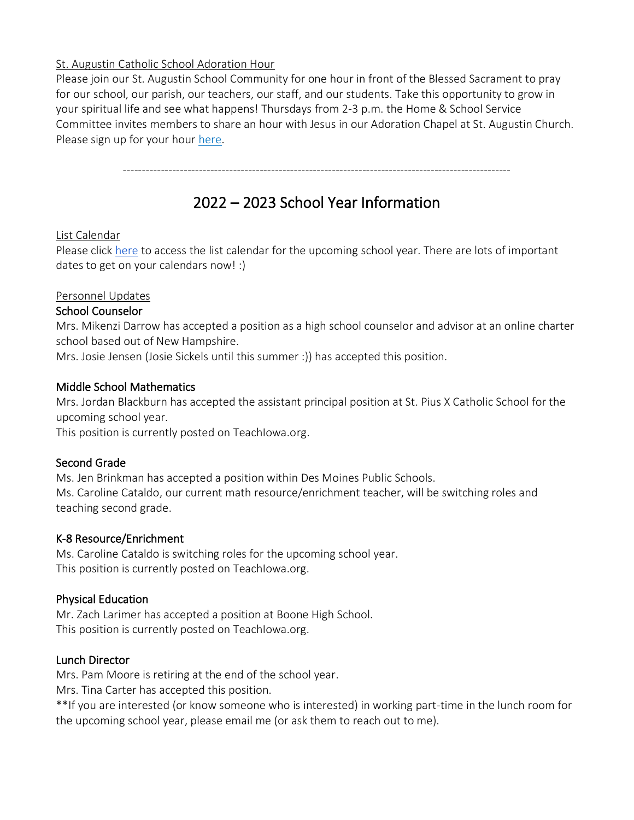# St. Augustin Catholic School Adoration Hour

Please join our St. Augustin School Community for one hour in front of the Blessed Sacrament to pray for our school, our parish, our teachers, our staff, and our students. Take this opportunity to grow in your spiritual life and see what happens! Thursdays from 2-3 p.m. the Home & School Service Committee invites members to share an hour with Jesus in our Adoration Chapel at St. Augustin Church. Please sign up for your hour [here.](https://www.signupgenius.com/go/20f0c44aea729a4f85-staugustin1)

------------------------------------------------------------------------------------------------------

# 2022 – 2023 School Year Information

#### List Calendar

Please click [here](https://docs.google.com/document/d/1_Hw81f1HITJrWPTUnPEmzSD2-uepNe-SCretzJs3qhw/edit?usp=sharing) to access the list calendar for the upcoming school year. There are lots of important dates to get on your calendars now! :)

## Personnel Updates

## School Counselor

Mrs. Mikenzi Darrow has accepted a position as a high school counselor and advisor at an online charter school based out of New Hampshire.

Mrs. Josie Jensen (Josie Sickels until this summer :)) has accepted this position.

## Middle School Mathematics

Mrs. Jordan Blackburn has accepted the assistant principal position at St. Pius X Catholic School for the upcoming school year.

This position is currently posted on TeachIowa.org.

#### Second Grade

Ms. Jen Brinkman has accepted a position within Des Moines Public Schools. Ms. Caroline Cataldo, our current math resource/enrichment teacher, will be switching roles and teaching second grade.

#### K-8 Resource/Enrichment

Ms. Caroline Cataldo is switching roles for the upcoming school year. This position is currently posted on TeachIowa.org.

#### Physical Education

Mr. Zach Larimer has accepted a position at Boone High School. This position is currently posted on TeachIowa.org.

#### Lunch Director

Mrs. Pam Moore is retiring at the end of the school year.

Mrs. Tina Carter has accepted this position.

\*\*If you are interested (or know someone who is interested) in working part-time in the lunch room for the upcoming school year, please email me (or ask them to reach out to me).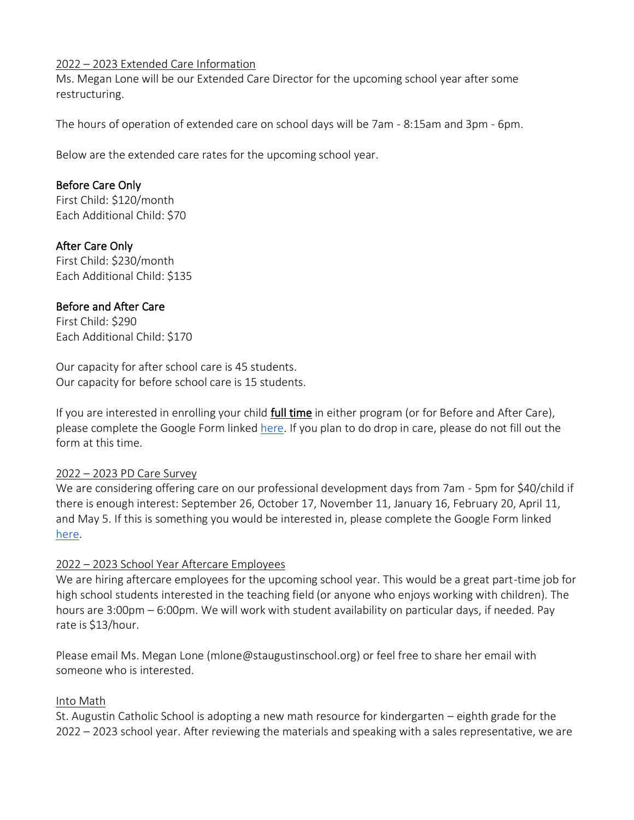#### 2022 – 2023 Extended Care Information

Ms. Megan Lone will be our Extended Care Director for the upcoming school year after some restructuring.

The hours of operation of extended care on school days will be 7am - 8:15am and 3pm - 6pm.

Below are the extended care rates for the upcoming school year.

# Before Care Only

First Child: \$120/month Each Additional Child: \$70

## After Care Only

First Child: \$230/month Each Additional Child: \$135

# Before and After Care

First Child: \$290 Each Additional Child: \$170

Our capacity for after school care is 45 students. Our capacity for before school care is 15 students.

If you are interested in enrolling your child full time in either program (or for Before and After Care), please complete the Google Form linke[d here.](https://docs.google.com/forms/d/e/1FAIpQLSfN4a4akGqwqjQ_cYtEaxaCFp9xcNNo72YYE7J3SwKph9Pamg/viewform?usp=sf_link) If you plan to do drop in care, please do not fill out the form at this time.

#### 2022 – 2023 PD Care Survey

We are considering offering care on our professional development days from 7am - 5pm for \$40/child if there is enough interest: September 26, October 17, November 11, January 16, February 20, April 11, and May 5. If this is something you would be interested in, please complete the Google Form linked [here.](https://docs.google.com/forms/d/e/1FAIpQLSc0k-ehQZgv0KrywwJIOv1iiT5c_4Aj1fb4hHWzrigwtQwlAQ/viewform?usp=sf_link)

# 2022 – 2023 School Year Aftercare Employees

We are hiring aftercare employees for the upcoming school year. This would be a great part-time job for high school students interested in the teaching field (or anyone who enjoys working with children). The hours are 3:00pm – 6:00pm. We will work with student availability on particular days, if needed. Pay rate is \$13/hour.

Please email Ms. Megan Lone (mlone@staugustinschool.org) or feel free to share her email with someone who is interested.

# Into Math

St. Augustin Catholic School is adopting a new math resource for kindergarten – eighth grade for the 2022 – 2023 school year. After reviewing the materials and speaking with a sales representative, we are